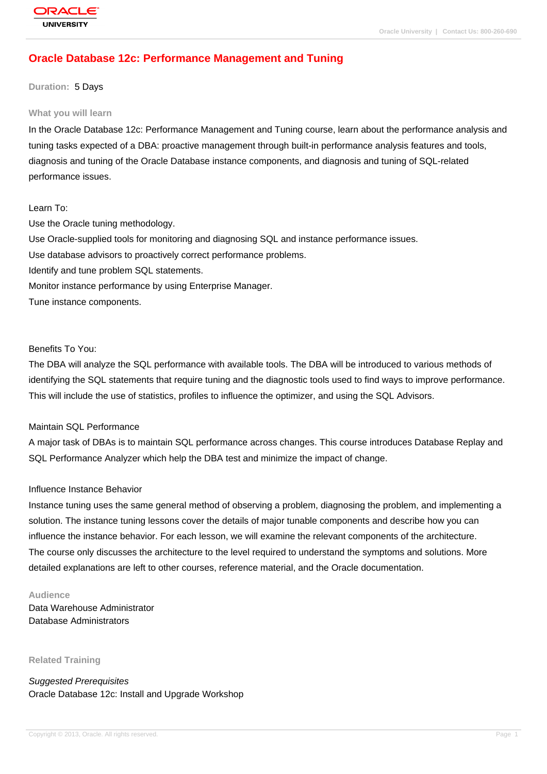# **[Oracle Databas](http://education.oracle.com/pls/web_prod-plq-dad/db_pages.getpage?page_id=3)e 12c: Performance Management and Tuning**

#### **Duration:** 5 Days

#### **What you will learn**

In the Oracle Database 12c: Performance Management and Tuning course, learn about the performance analysis and tuning tasks expected of a DBA: proactive management through built-in performance analysis features and tools, diagnosis and tuning of the Oracle Database instance components, and diagnosis and tuning of SQL-related performance issues.

#### Learn To:

Use the Oracle tuning methodology. Use Oracle-supplied tools for monitoring and diagnosing SQL and instance performance issues. Use database advisors to proactively correct performance problems. Identify and tune problem SQL statements. Monitor instance performance by using Enterprise Manager. Tune instance components.

#### Benefits To You:

The DBA will analyze the SQL performance with available tools. The DBA will be introduced to various methods of identifying the SQL statements that require tuning and the diagnostic tools used to find ways to improve performance. This will include the use of statistics, profiles to influence the optimizer, and using the SQL Advisors.

#### Maintain SQL Performance

A major task of DBAs is to maintain SQL performance across changes. This course introduces Database Replay and SQL Performance Analyzer which help the DBA test and minimize the impact of change.

#### Influence Instance Behavior

Instance tuning uses the same general method of observing a problem, diagnosing the problem, and implementing a solution. The instance tuning lessons cover the details of major tunable components and describe how you can influence the instance behavior. For each lesson, we will examine the relevant components of the architecture. The course only discusses the architecture to the level required to understand the symptoms and solutions. More detailed explanations are left to other courses, reference material, and the Oracle documentation.

#### **Audience**

Data Warehouse Administrator Database Administrators

**Related Training**

Suggested Prerequisites Oracle Database 12c: Install and Upgrade Workshop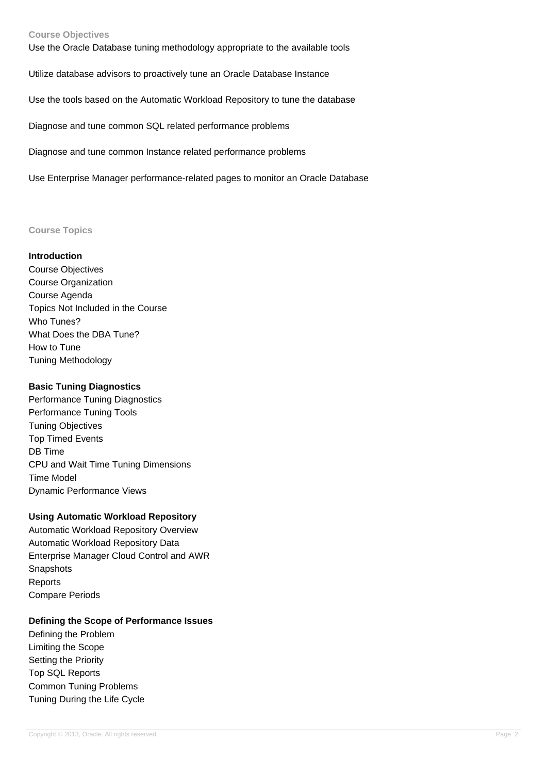### **Course Objectives**

Use the Oracle Database tuning methodology appropriate to the available tools

Utilize database advisors to proactively tune an Oracle Database Instance

Use the tools based on the Automatic Workload Repository to tune the database

Diagnose and tune common SQL related performance problems

Diagnose and tune common Instance related performance problems

Use Enterprise Manager performance-related pages to monitor an Oracle Database

#### **Course Topics**

#### **Introduction**

Course Objectives Course Organization Course Agenda Topics Not Included in the Course Who Tunes? What Does the DBA Tune? How to Tune Tuning Methodology

# **Basic Tuning Diagnostics**

Performance Tuning Diagnostics Performance Tuning Tools Tuning Objectives Top Timed Events DB Time CPU and Wait Time Tuning Dimensions Time Model Dynamic Performance Views

## **Using Automatic Workload Repository**

Automatic Workload Repository Overview Automatic Workload Repository Data Enterprise Manager Cloud Control and AWR **Snapshots** Reports Compare Periods

## **Defining the Scope of Performance Issues**

Defining the Problem Limiting the Scope Setting the Priority Top SQL Reports Common Tuning Problems Tuning During the Life Cycle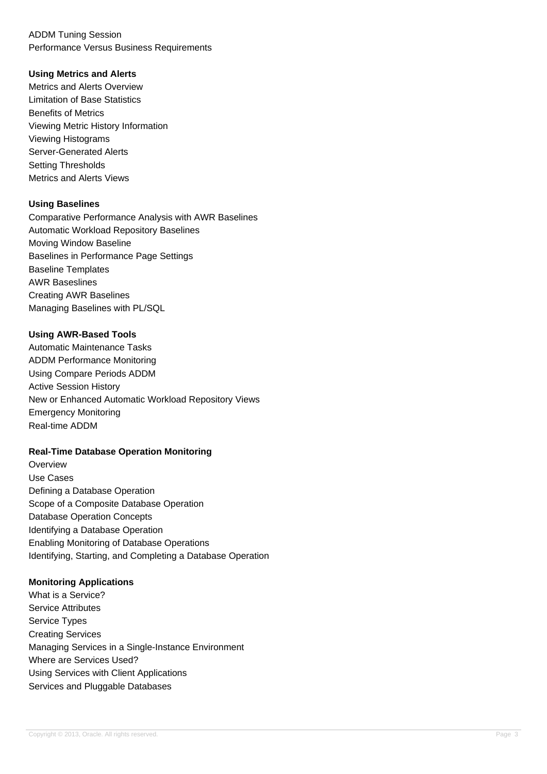# ADDM Tuning Session Performance Versus Business Requirements

# **Using Metrics and Alerts**

Metrics and Alerts Overview Limitation of Base Statistics Benefits of Metrics Viewing Metric History Information Viewing Histograms Server-Generated Alerts Setting Thresholds Metrics and Alerts Views

# **Using Baselines**

Comparative Performance Analysis with AWR Baselines Automatic Workload Repository Baselines Moving Window Baseline Baselines in Performance Page Settings Baseline Templates AWR Baseslines Creating AWR Baselines Managing Baselines with PL/SQL

# **Using AWR-Based Tools**

Automatic Maintenance Tasks ADDM Performance Monitoring Using Compare Periods ADDM Active Session History New or Enhanced Automatic Workload Repository Views Emergency Monitoring Real-time ADDM

## **Real-Time Database Operation Monitoring**

**Overview** Use Cases Defining a Database Operation Scope of a Composite Database Operation Database Operation Concepts Identifying a Database Operation Enabling Monitoring of Database Operations Identifying, Starting, and Completing a Database Operation

## **Monitoring Applications**

What is a Service? Service Attributes Service Types Creating Services Managing Services in a Single-Instance Environment Where are Services Used? Using Services with Client Applications Services and Pluggable Databases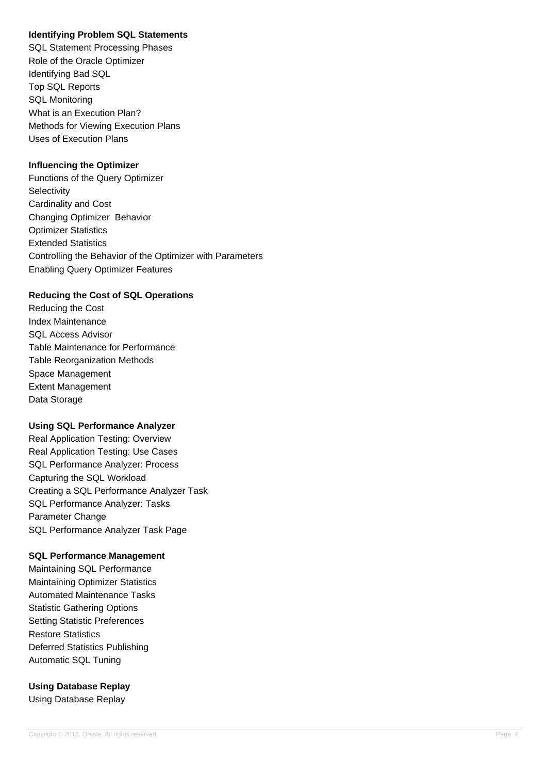# **Identifying Problem SQL Statements**

SQL Statement Processing Phases Role of the Oracle Optimizer Identifying Bad SQL Top SQL Reports SQL Monitoring What is an Execution Plan? Methods for Viewing Execution Plans Uses of Execution Plans

# **Influencing the Optimizer**

Functions of the Query Optimizer **Selectivity** Cardinality and Cost Changing Optimizer Behavior Optimizer Statistics Extended Statistics Controlling the Behavior of the Optimizer with Parameters Enabling Query Optimizer Features

## **Reducing the Cost of SQL Operations**

Reducing the Cost Index Maintenance SQL Access Advisor Table Maintenance for Performance Table Reorganization Methods Space Management Extent Management Data Storage

## **Using SQL Performance Analyzer**

Real Application Testing: Overview Real Application Testing: Use Cases SQL Performance Analyzer: Process Capturing the SQL Workload Creating a SQL Performance Analyzer Task SQL Performance Analyzer: Tasks Parameter Change SQL Performance Analyzer Task Page

## **SQL Performance Management**

Maintaining SQL Performance Maintaining Optimizer Statistics Automated Maintenance Tasks Statistic Gathering Options Setting Statistic Preferences Restore Statistics Deferred Statistics Publishing Automatic SQL Tuning

**Using Database Replay** Using Database Replay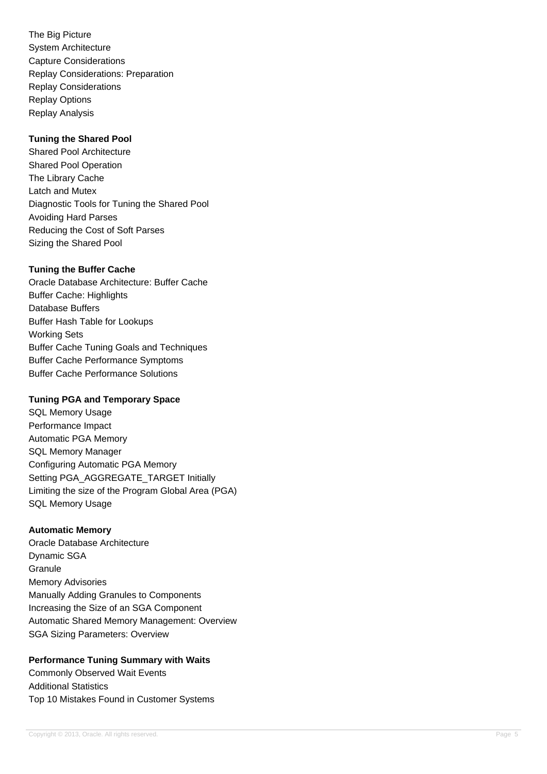The Big Picture System Architecture Capture Considerations Replay Considerations: Preparation Replay Considerations Replay Options Replay Analysis

# **Tuning the Shared Pool**

Shared Pool Architecture Shared Pool Operation The Library Cache Latch and Mutex Diagnostic Tools for Tuning the Shared Pool Avoiding Hard Parses Reducing the Cost of Soft Parses Sizing the Shared Pool

# **Tuning the Buffer Cache**

Oracle Database Architecture: Buffer Cache Buffer Cache: Highlights Database Buffers Buffer Hash Table for Lookups Working Sets Buffer Cache Tuning Goals and Techniques Buffer Cache Performance Symptoms Buffer Cache Performance Solutions

# **Tuning PGA and Temporary Space**

SQL Memory Usage Performance Impact Automatic PGA Memory SQL Memory Manager Configuring Automatic PGA Memory Setting PGA\_AGGREGATE\_TARGET Initially Limiting the size of the Program Global Area (PGA) SQL Memory Usage

# **Automatic Memory**

Oracle Database Architecture Dynamic SGA **Granule** Memory Advisories Manually Adding Granules to Components Increasing the Size of an SGA Component Automatic Shared Memory Management: Overview SGA Sizing Parameters: Overview

# **Performance Tuning Summary with Waits**

Commonly Observed Wait Events Additional Statistics Top 10 Mistakes Found in Customer Systems